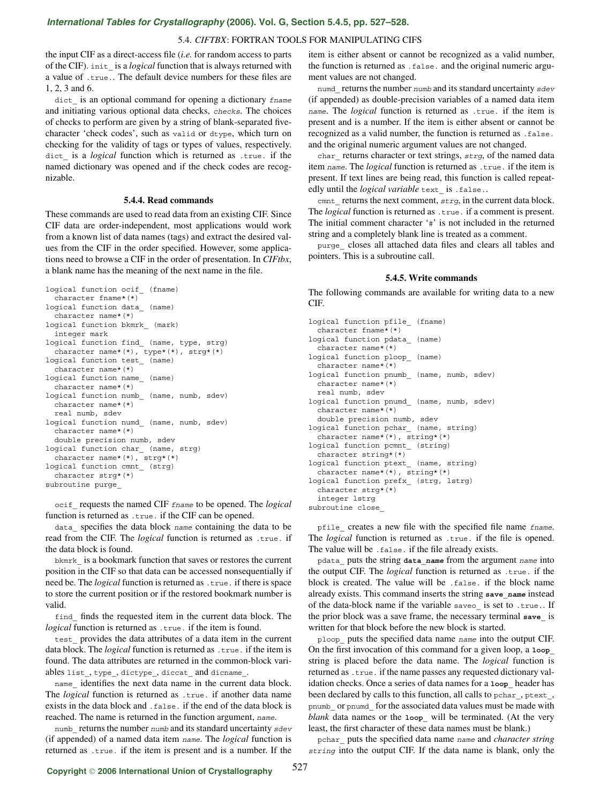# *International Tables for Crystallography* **[\(2006\). Vol. G, Section 5.4.5, pp. 527–528.](http://it.iucr.org/Ga/ch5o4v0001/sec5o4o5/)**

### 5.4. *CIFTBX*: FORTRAN TOOLS FOR MANIPULATING CIFS

the input CIF as a direct-access file (*i.e.* for random access to parts of the CIF). init\_ is a *logical* function that is always returned with a value of .true.. The default device numbers for these files are 1, 2, 3 and 6.

dict is an optional command for opening a dictionary fname and initiating various optional data checks, checks. The choices of checks to perform are given by a string of blank-separated fivecharacter 'check codes', such as valid or dtype, which turn on checking for the validity of tags or types of values, respectively. dict\_ is a *logical* function which is returned as .true. if the named dictionary was opened and if the check codes are recognizable.

### **5.4.4. Read commands**

These commands are used to read data from an existing CIF. Since CIF data are order-independent, most applications would work from a known list of data names (tags) and extract the desired values from the CIF in the order specified. However, some applications need to browse a CIF in the order of presentation. In *CIFtbx*, a blank name has the meaning of the next name in the file.

```
logical function ocif_ (fname)
  character fname*(*)
logical function data_ (name)
  character name*(*)
logical function bkmrk_ (mark)
  integer mark
logical function find_ (name, type, strg)
  character name*(*), type*(*), strg*(*)
logical function test_ (name)
  character name*(*)
logical function name_ (name)
  character name*(*)
logical function numb_ (name, numb, sdev)
  character name*(*)
  real numb, sdev
logical function numd_ (name, numb, sdev)
  character name*(*)
  double precision numb, sdev
logical function char_ (name, strg)
  character name*(*), strg*(*)
logical function cmnt_ (strg)
  character strg*(*)
subroutine purge_
```
ocif\_ requests the named CIF fname to be opened. The *logical* function is returned as .true. if the CIF can be opened.

data specifies the data block name containing the data to be read from the CIF. The *logical* function is returned as .true. if the data block is found.

bkmrk\_ is a bookmark function that saves or restores the current position in the CIF so that data can be accessed nonsequentially if need be. The *logical* function is returned as .true. if there is space to store the current position or if the restored bookmark number is valid.

find\_ finds the requested item in the current data block. The *logical* function is returned as .true. if the item is found.

test\_ provides the data attributes of a data item in the current data block. The *logical* function is returned as .true. if the item is found. The data attributes are returned in the common-block variables list, type, dictype, diccat and dicname.

name\_ identifies the next data name in the current data block. The *logical* function is returned as .true. if another data name exists in the data block and .false. if the end of the data block is reached. The name is returned in the function argument, name.

numb returns the number numb and its standard uncertainty sdev (if appended) of a named data item name. The *logical* function is returned as .true. if the item is present and is a number. If the item is either absent or cannot be recognized as a valid number, the function is returned as .false. and the original numeric argument values are not changed.

numd returns the number numb and its standard uncertainty sdev (if appended) as double-precision variables of a named data item name. The *logical* function is returned as .true. if the item is present and is a number. If the item is either absent or cannot be recognized as a valid number, the function is returned as .false. and the original numeric argument values are not changed.

char\_ returns character or text strings, strg, of the named data item name. The *logical* function is returned as .true. if the item is present. If text lines are being read, this function is called repeatedly until the *logical variable* text\_ is .false..

cmnt returns the next comment,  $strg$ , in the current data block. The *logical* function is returned as .true. if a comment is present. The initial comment character '#' is not included in the returned string and a completely blank line is treated as a comment.

purge\_ closes all attached data files and clears all tables and pointers. This is a subroutine call.

### **5.4.5. Write commands**

The following commands are available for writing data to a new CIF.

| logical function pfile (fname)            |  |
|-------------------------------------------|--|
| character frame* $(*)$                    |  |
| logical function pdata (name)             |  |
| character $name*(*)$                      |  |
| logical function ploop (name)             |  |
| character name* $(*)$                     |  |
| logical function pnumb (name, numb, sdev) |  |
| character $name*(*)$                      |  |
| real numb, sdev                           |  |
| logical function pnumd (name, numb, sdev) |  |
| character name* $(*)$                     |  |
| double precision numb, sdev               |  |
| logical function pchar (name, string)     |  |
| character name* $(*)$ , string* $(*)$     |  |
| logical function pomnt (string)           |  |
| character string * $(*)$                  |  |
| logical function ptext (name, string)     |  |
| character name* $(*)$ , string* $(*)$     |  |
| logical function prefx (strg, lstrg)      |  |
| character $strq*(*)$                      |  |
| integer lstrg                             |  |
| subroutine close                          |  |

pfile creates a new file with the specified file name fname. The *logical* function is returned as .true. if the file is opened. The value will be .false. if the file already exists.

pdata\_ puts the string **data\_name** from the argument name into the output CIF. The *logical* function is returned as .true. if the block is created. The value will be .false. if the block name already exists. This command inserts the string **save\_name** instead of the data-block name if the variable saveo\_ is set to .true.. If the prior block was a save frame, the necessary terminal **save\_** is written for that block before the new block is started.

ploop\_ puts the specified data name name into the output CIF. On the first invocation of this command for a given loop, a **loop\_** string is placed before the data name. The *logical* function is returned as .true. if the name passes any requested dictionary validation checks. Once a series of data names for a **loop\_** header has been declared by calls to this function, all calls to pchar\_, ptext\_, pnumb\_ or pnumd\_ for the associated data values must be made with *blank* data names or the **loop\_** will be terminated. (At the very least, the first character of these data names must be blank.)

pchar\_ puts the specified data name name and *character string* string into the output CIF. If the data name is blank, only the